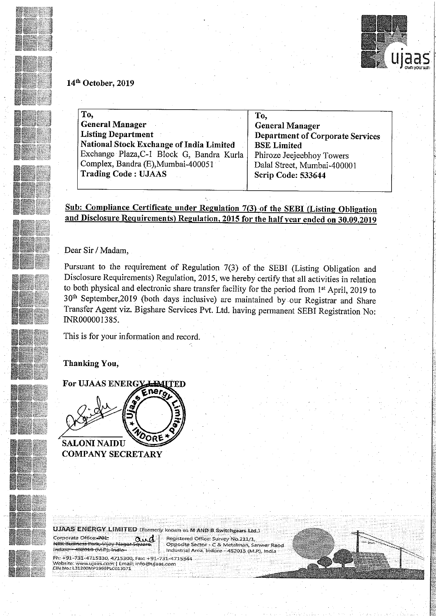

4.",

### 14<sup>th</sup> October, 2019

| To,                                       | To.                                     |  |
|-------------------------------------------|-----------------------------------------|--|
| <b>General Manager</b>                    | <b>General Manager</b>                  |  |
| <b>Listing Department</b>                 | <b>Department of Corporate Services</b> |  |
| National Stock Exchange of India Limited  | <b>BSE Limited</b>                      |  |
| Exchange Plaza, C-1 Block G, Bandra Kurla | Phiroze Jeejeebhoy Towers               |  |
| Complex, Bandra (E), Mumbai-400051        | Dalal Street, Mumbai-400001             |  |
| <b>Trading Code: UJAAS</b>                | Scrip Code: 533644                      |  |
|                                           |                                         |  |

Sub: Compliance Certificate under Regulation 7(3) of the SEBI (Listing Obligation and Disclosure Requirements) Regulation, 2015 for the half year ended on 30.09.2019

Dear Sir / Madam,

Pursuant to the requirement of Regulation 7(3) of the SEBI (Listing Obligation and Disclosure Requirements) Regulation, 2015, we hereby certify that all activities in relation to both physical and electronic share transfer facility for the period from 1st April, 2019 to 30<sup>th</sup> September,2019 (both days inclusive) are maintained by our Registrar and Share Transfer Agent Viz. Bigshare Services Pvt. Ltd. having permanent SEBI Registration No: INR000001385.

This is for your information and record.

## Thanking You,

For UJAAS ENERGY HAITED ne, OORE **SALONI NAIDU** 

COMPANY SECRETARY

Corporate Office: 701, <del>NRK Business Park, Vila</del>y

UJAAS ENERGY LIMITED (Formerly known as M AND B Switchgears Ltd.)<br>Corporate Office 701, **now stite and Servey'S Registered Office: Survey No. 211/1**<br>NRK Business Pork, Vijay Nagar Square, Copposite Sector - C & Metalman, S 1 Opposite Sector - C & Metalman, Sanwer Raoc {Mm-Ware— industrial Area, ll'ldQTQ <sup>&</sup>gt; 452015 (EAR), India



Ph: +91-731-4715330, 4715300, Fax: +91-731-4715344 Website, www.ujaas.com | Email; info@ujaas.com<br>CIN No;: L31200MP1999PLC013571